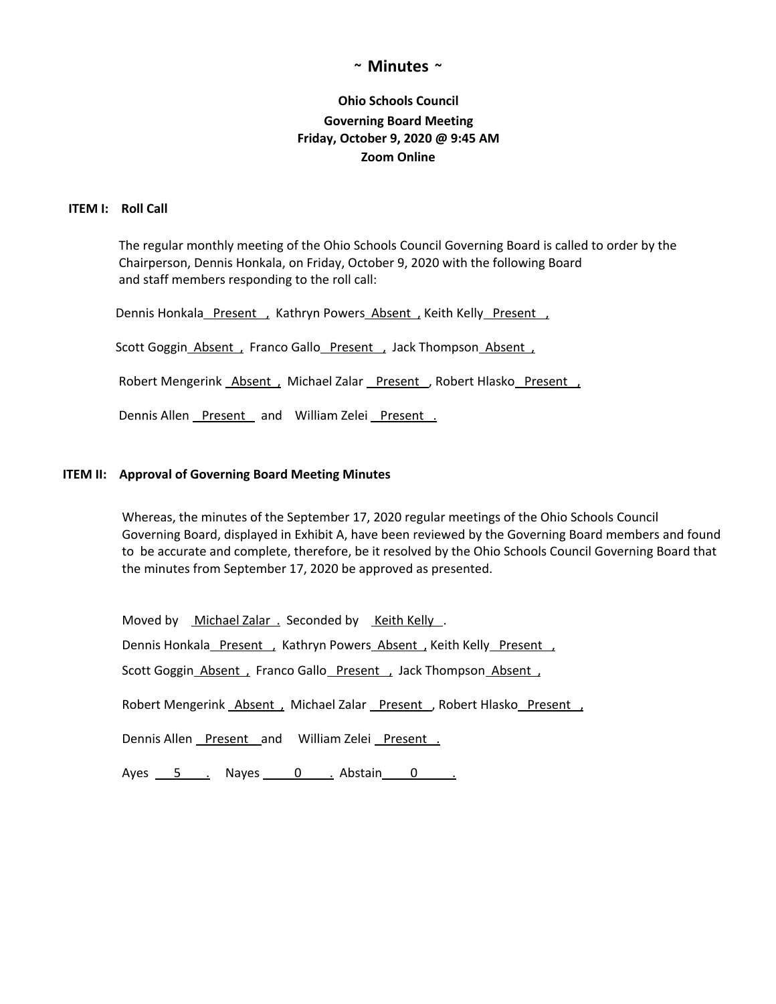# **~ Minutes ~**

# **Ohio Schools Council Governing Board Meeting Friday, October 9, 2020 @ 9:45 AM Zoom Online**

# **ITEM I: Roll Call**

The regular monthly meeting of the Ohio Schools Council Governing Board is called to order by the Chairperson, Dennis Honkala, on Friday, October 9, 2020 with the following Board and staff members responding to the roll call:

Dennis Honkala Present , Kathryn Powers Absent , Keith Kelly Present ,

Scott Goggin\_Absent , Franco Gallo\_Present , Jack Thompson\_Absent ,

Robert Mengerink Absent, Michael Zalar Present, Robert Hlasko Present,

Dennis Allen Present and William Zelei Present.

## **ITEM II: Approval of Governing Board Meeting Minutes**

Whereas, the minutes of the September 17, 2020 regular meetings of the Ohio Schools Council Governing Board, displayed in Exhibit A, have been reviewed by the Governing Board members and found to be accurate and complete, therefore, be it resolved by the Ohio Schools Council Governing Board that the minutes from September 17, 2020 be approved as presented.

Moved by Michael Zalar . Seconded by Keith Kelly. Dennis Honkala\_Present , Kathryn Powers\_Absent , Keith Kelly\_Present , Scott Goggin\_Absent , Franco Gallo\_Present , Jack Thompson\_Absent ,

Robert Mengerink Absent, Michael Zalar Present, Robert Hlasko Present,

Dennis Allen Present and William Zelei Present.

Ayes 5 . Nayes 0 . Abstain 0 .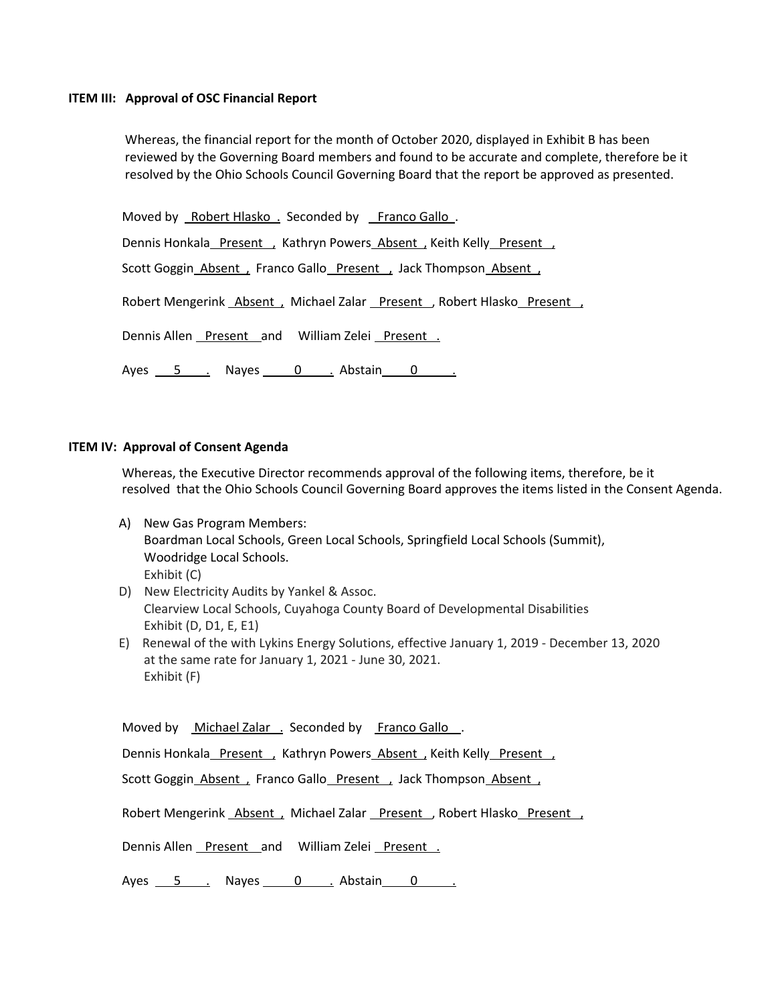#### **ITEM III: Approval of OSC Financial Report**

Whereas, the financial report for the month of October 2020, displayed in Exhibit B has been reviewed by the Governing Board members and found to be accurate and complete, therefore be it resolved by the Ohio Schools Council Governing Board that the report be approved as presented.

Moved by Robert Hlasko . Seconded by Franco Gallo . Dennis Honkala Present , Kathryn Powers Absent , Keith Kelly Present Scott Goggin\_Absent , Franco Gallo\_Present , Jack Thompson\_Absent , Robert Mengerink Absent, Michael Zalar Present, Robert Hlasko Present, Dennis Allen Present and William Zelei Present . Ayes 5 . Nayes 0 . Abstain 0 .

#### **ITEM IV: Approval of Consent Agenda**

Whereas, the Executive Director recommends approval of the following items, therefore, be it resolved that the Ohio Schools Council Governing Board approves the items listed in the Consent Agenda.

- A) New Gas Program Members: Boardman Local Schools, Green Local Schools, Springfield Local Schools (Summit), Woodridge Local Schools. Exhibit (C)
- D) New Electricity Audits by Yankel & Assoc. Clearview Local Schools, Cuyahoga County Board of Developmental Disabilities Exhibit (D, D1, E, E1)
- E) Renewal of the with Lykins Energy Solutions, effective January 1, 2019 December 13, 2020 at the same rate for January 1, 2021 - June 30, 2021. Exhibit (F)

Moved by Michael Zalar . Seconded by Franco Gallo.

Dennis Honkala Present , Kathryn Powers Absent , Keith Kelly Present

Scott Goggin\_Absent , Franco Gallo\_Present , Jack Thompson\_Absent ,

Robert Mengerink Absent, Michael Zalar Present, Robert Hlasko Present,

Dennis Allen Present and William Zelei Present.

Ayes 5 . Nayes 0 . Abstain 0 .